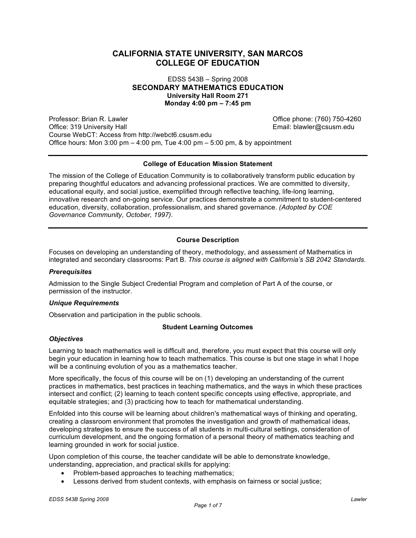# **CALIFORNIA STATE UNIVERSITY, SAN MARCOS COLLEGE OF EDUCATION**

EDSS 543B – Spring 2008 **SECONDARY MATHEMATICS EDUCATION University Hall Room 271 Monday 4:00 pm – 7:45 pm**

Professor: Brian R. Lawler **Calculation Community** Communication Communication Communication Communication Communication Communication Communication Communication Communication Communication Communication Communication Com Office: 319 University Hall **Email: blawler@csusm.edu** Email: blawler@csusm.edu Course WebCT: Access from http://webct6.csusm.edu Office hours: Mon 3:00 pm  $-$  4:00 pm, Tue 4:00 pm  $-$  5:00 pm, & by appointment

#### **College of Education Mission Statement**

The mission of the College of Education Community is to collaboratively transform public education by preparing thoughtful educators and advancing professional practices. We are committed to diversity, educational equity, and social justice, exemplified through reflective teaching, life-long learning, innovative research and on-going service. Our practices demonstrate a commitment to student-centered education, diversity, collaboration, professionalism, and shared governance. *(Adopted by COE Governance Community, October, 1997).*

## **Course Description**

Focuses on developing an understanding of theory, methodology, and assessment of Mathematics in integrated and secondary classrooms: Part B. *This course is aligned with California's SB 2042 Standards.*

#### *Prerequisites*

Admission to the Single Subject Credential Program and completion of Part A of the course, or permission of the instructor.

## *Unique Requirements*

Observation and participation in the public schools.

## **Student Learning Outcomes**

#### *Objectives*

Learning to teach mathematics well is difficult and, therefore, you must expect that this course will only begin your education in learning how to teach mathematics. This course is but one stage in what I hope will be a continuing evolution of you as a mathematics teacher.

More specifically, the focus of this course will be on (1) developing an understanding of the current practices in mathematics, best practices in teaching mathematics, and the ways in which these practices intersect and conflict; (2) learning to teach content specific concepts using effective, appropriate, and equitable strategies; and (3) practicing how to teach for mathematical understanding.

Enfolded into this course will be learning about children's mathematical ways of thinking and operating, creating a classroom environment that promotes the investigation and growth of mathematical ideas, developing strategies to ensure the success of all students in multi-cultural settings, consideration of curriculum development, and the ongoing formation of a personal theory of mathematics teaching and learning grounded in work for social justice.

Upon completion of this course, the teacher candidate will be able to demonstrate knowledge, understanding, appreciation, and practical skills for applying:

- Problem-based approaches to teaching mathematics;
- Lessons derived from student contexts, with emphasis on fairness or social justice;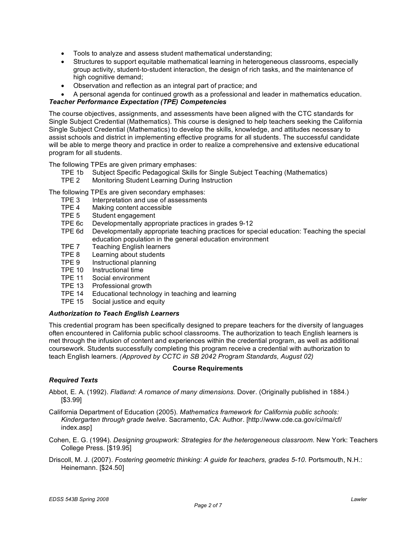- Tools to analyze and assess student mathematical understanding;
- Structures to support equitable mathematical learning in heterogeneous classrooms, especially group activity, student-to-student interaction, the design of rich tasks, and the maintenance of high cognitive demand;
- Observation and reflection as an integral part of practice; and
- A personal agenda for continued growth as a professional and leader in mathematics education.

## *Teacher Performance Expectation (TPE) Competencies*

The course objectives, assignments, and assessments have been aligned with the CTC standards for Single Subject Credential (Mathematics). This course is designed to help teachers seeking the California Single Subject Credential (Mathematics) to develop the skills, knowledge, and attitudes necessary to assist schools and district in implementing effective programs for all students. The successful candidate will be able to merge theory and practice in order to realize a comprehensive and extensive educational program for all students.

The following TPEs are given primary emphases:

- TPE 1b Subject Specific Pedagogical Skills for Single Subject Teaching (Mathematics)
- TPE 2 Monitoring Student Learning During Instruction

The following TPEs are given secondary emphases:

- TPE 3 Interpretation and use of assessments<br>TPE 4 Making content accessible
- Making content accessible
- TPE 5 Student engagement
- TPE 6c Developmentally appropriate practices in grades 9-12
- TPE 6d Developmentally appropriate teaching practices for special education: Teaching the special education population in the general education environment
- TPE 7 Teaching English learners
- TPE 8 Learning about students
- TPE 9 Instructional planning
- TPE 10 Instructional time
- TPE 11 Social environment
- TPE 13 Professional growth
- TPE 14 Educational technology in teaching and learning
- TPE 15 Social justice and equity

## *Authorization to Teach English Learners*

This credential program has been specifically designed to prepare teachers for the diversity of languages often encountered in California public school classrooms. The authorization to teach English learners is met through the infusion of content and experiences within the credential program, as well as additional coursework. Students successfully completing this program receive a credential with authorization to teach English learners. *(Approved by CCTC in SB 2042 Program Standards, August 02)*

## **Course Requirements**

## *Required Texts*

Abbot, E. A. (1992). *Flatland: A romance of many dimensions.* Dover. (Originally published in 1884.) [\$3.99]

California Department of Education (2005). *Mathematics framework for California public schools: Kindergarten through grade twelve*. Sacramento, CA: Author. [http://www.cde.ca.gov/ci/ma/cf/ index.asp]

Cohen, E. G. (1994). *Designing groupwork: Strategies for the heterogeneous classroom*. New York: Teachers College Press. [\$19.95]

Driscoll, M. J. (2007). *Fostering geometric thinking: A guide for teachers, grades 5-10*. Portsmouth, N.H.: Heinemann. [\$24.50]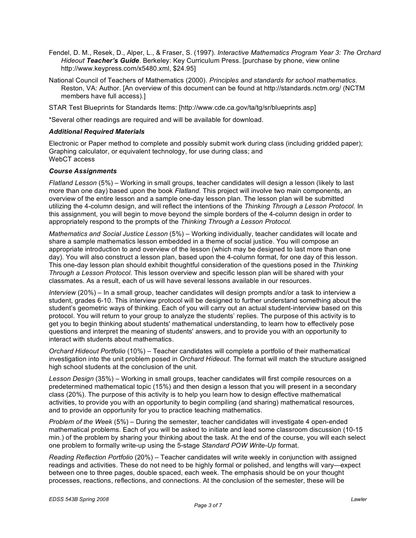- Fendel, D. M., Resek, D., Alper, L., & Fraser, S. (1997). *Interactive Mathematics Program Year 3: The Orchard Hideout Teacher's Guide*. Berkeley: Key Curriculum Press. [purchase by phone, view online http://www.keypress.com/x5480.xml, \$24.95]
- National Council of Teachers of Mathematics (2000). *Principles and standards for school mathematics*. Reston, VA: Author. [An overview of this document can be found at http://standards.nctm.org/ (NCTM members have full access).]

STAR Test Blueprints for Standards Items: [http://www.cde.ca.gov/ta/tg/sr/blueprints.asp]

\*Several other readings are required and will be available for download.

#### *Additional Required Materials*

Electronic or Paper method to complete and possibly submit work during class (including gridded paper); Graphing calculator, or equivalent technology, for use during class; and WebCT access

#### *Course Assignments*

*Flatland Lesson* (5%) – Working in small groups, teacher candidates will design a lesson (likely to last more than one day) based upon the book *Flatland.* This project will involve two main components, an overview of the entire lesson and a sample one-day lesson plan. The lesson plan will be submitted utilizing the 4-column design, and will reflect the intentions of the *Thinking Through a Lesson Protocol*. In this assignment, you will begin to move beyond the simple borders of the 4-column design in order to appropriately respond to the prompts of the *Thinking Through a Lesson Protocol.*

*Mathematics and Social Justice Lesson* (5%) – Working individually, teacher candidates will locate and share a sample mathematics lesson embedded in a theme of social justice. You will compose an appropriate introduction to and overview of the lesson (which may be designed to last more than one day). You will also construct a lesson plan, based upon the 4-column format, for one day of this lesson. This one-day lesson plan should exhibit thoughtful consideration of the questions posed in the *Thinking Through a Lesson Protocol.* This lesson overview and specific lesson plan will be shared with your classmates. As a result, each of us will have several lessons available in our resources.

*Interview* (20%) – In a small group, teacher candidates will design prompts and/or a task to interview a student, grades 6-10. This interview protocol will be designed to further understand something about the student's geometric ways of thinking. Each of you will carry out an actual student-interview based on this protocol. You will return to your group to analyze the students' replies. The purpose of this activity is to get you to begin thinking about students' mathematical understanding, to learn how to effectively pose questions and interpret the meaning of students' answers, and to provide you with an opportunity to interact with students about mathematics.

*Orchard Hideout Portfolio* (10%) – Teacher candidates will complete a portfolio of their mathematical investigation into the unit problem posed in *Orchard Hideout*. The format will match the structure assigned high school students at the conclusion of the unit.

*Lesson Design* (35%) – Working in small groups, teacher candidates will first compile resources on a predetermined mathematical topic (15%) and then design a lesson that you will present in a secondary class (20%). The purpose of this activity is to help you learn how to design effective mathematical activities, to provide you with an opportunity to begin compiling (and sharing) mathematical resources, and to provide an opportunity for you to practice teaching mathematics.

*Problem of the Week* (5%) – During the semester, teacher candidates will investigate 4 open-ended mathematical problems. Each of you will be asked to initiate and lead some classroom discussion (10-15 min.) of the problem by sharing your thinking about the task. At the end of the course, you will each select one problem to formally write-up using the 5-stage *Standard POW Write-Up* format.

*Reading Reflection Portfolio* (20%) – Teacher candidates will write weekly in conjunction with assigned readings and activities. These do not need to be highly formal or polished, and lengths will vary—expect between one to three pages, double spaced, each week. The emphasis should be on your thought processes, reactions, reflections, and connections. At the conclusion of the semester, these will be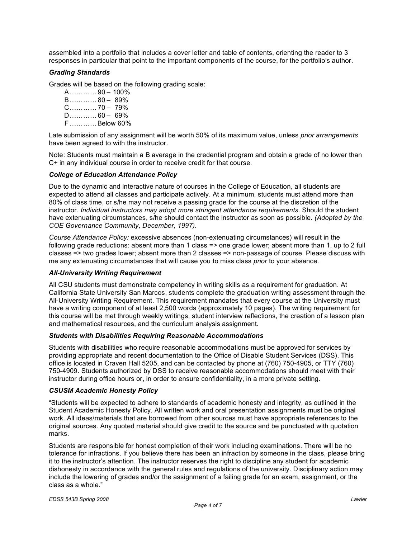assembled into a portfolio that includes a cover letter and table of contents, orienting the reader to 3 responses in particular that point to the important components of the course, for the portfolio's author.

## *Grading Standards*

Grades will be based on the following grading scale:

A………… 90 – 100% B………… 80 – 89% C………… 70 – 79% D………… 60 – 69% F…………Below 60%

Late submission of any assignment will be worth 50% of its maximum value, unless *prior arrangements* have been agreed to with the instructor.

Note: Students must maintain a B average in the credential program and obtain a grade of no lower than C+ in any individual course in order to receive credit for that course.

#### *College of Education Attendance Policy*

Due to the dynamic and interactive nature of courses in the College of Education, all students are expected to attend all classes and participate actively. At a minimum, students must attend more than 80% of class time, or s/he may not receive a passing grade for the course at the discretion of the instructor. *Individual instructors may adopt more stringent attendance requirements*. Should the student have extenuating circumstances, s/he should contact the instructor as soon as possible. *(Adopted by the COE Governance Community, December, 1997).*

*Course Attendance Policy:* excessive absences (non-extenuating circumstances) will result in the following grade reductions: absent more than 1 class => one grade lower; absent more than 1, up to 2 full classes => two grades lower; absent more than 2 classes => non-passage of course. Please discuss with me any extenuating circumstances that will cause you to miss class *prior* to your absence.

#### *All-University Writing Requirement*

All CSU students must demonstrate competency in writing skills as a requirement for graduation. At California State University San Marcos, students complete the graduation writing assessment through the All-University Writing Requirement. This requirement mandates that every course at the University must have a writing component of at least 2,500 words (approximately 10 pages). The writing requirement for this course will be met through weekly writings, student interview reflections, the creation of a lesson plan and mathematical resources, and the curriculum analysis assignment.

#### *Students with Disabilities Requiring Reasonable Accommodations*

Students with disabilities who require reasonable accommodations must be approved for services by providing appropriate and recent documentation to the Office of Disable Student Services (DSS). This office is located in Craven Hall 5205, and can be contacted by phone at (760) 750-4905, or TTY (760) 750-4909. Students authorized by DSS to receive reasonable accommodations should meet with their instructor during office hours or, in order to ensure confidentiality, in a more private setting.

#### *CSUSM Academic Honesty Policy*

"Students will be expected to adhere to standards of academic honesty and integrity, as outlined in the Student Academic Honesty Policy. All written work and oral presentation assignments must be original work. All ideas/materials that are borrowed from other sources must have appropriate references to the original sources. Any quoted material should give credit to the source and be punctuated with quotation marks.

Students are responsible for honest completion of their work including examinations. There will be no tolerance for infractions. If you believe there has been an infraction by someone in the class, please bring it to the instructor's attention. The instructor reserves the right to discipline any student for academic dishonesty in accordance with the general rules and regulations of the university. Disciplinary action may include the lowering of grades and/or the assignment of a failing grade for an exam, assignment, or the class as a whole."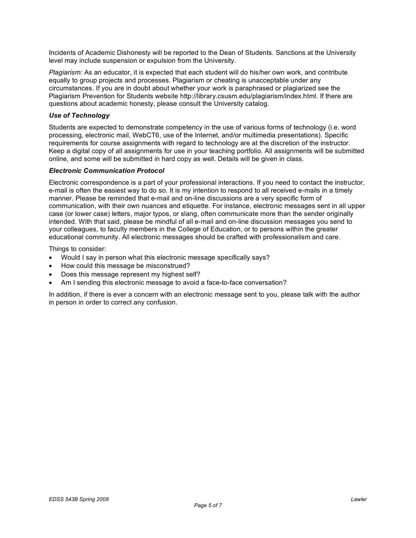Incidents of Academic Dishonesty will be reported to the Dean of Students. Sanctions at the University level may include suspension or expulsion from the University.

*Plagiarism:* As an educator, it is expected that each student will do his/her own work, and contribute equally to group projects and processes. Plagiarism or cheating is unacceptable under any circumstances. If you are in doubt about whether your work is paraphrased or plagiarized see the Plagiarism Prevention for Students website http://library.csusm.edu/plagiarism/index.html. If there are questions about academic honesty, please consult the University catalog.

## *Use of Technology*

Students are expected to demonstrate competency in the use of various forms of technology (i.e. word processing, electronic mail, WebCT6, use of the Internet, and/or multimedia presentations). Specific requirements for course assignments with regard to technology are at the discretion of the instructor. Keep a digital copy of all assignments for use in your teaching portfolio. All assignments will be submitted online, and some will be submitted in hard copy as well. Details will be given in class.

## *Electronic Communication Protocol*

Electronic correspondence is a part of your professional interactions. If you need to contact the instructor, e-mail is often the easiest way to do so. It is my intention to respond to all received e-mails in a timely manner. Please be reminded that e-mail and on-line discussions are a very specific form of communication, with their own nuances and etiquette. For instance, electronic messages sent in all upper case (or lower case) letters, major typos, or slang, often communicate more than the sender originally intended. With that said, please be mindful of all e-mail and on-line discussion messages you send to your colleagues, to faculty members in the College of Education, or to persons within the greater educational community. All electronic messages should be crafted with professionalism and care.

Things to consider:

- Would I say in person what this electronic message specifically says?
- How could this message be misconstrued?
- Does this message represent my highest self?
- Am I sending this electronic message to avoid a face-to-face conversation?

In addition, if there is ever a concern with an electronic message sent to you, please talk with the author in person in order to correct any confusion.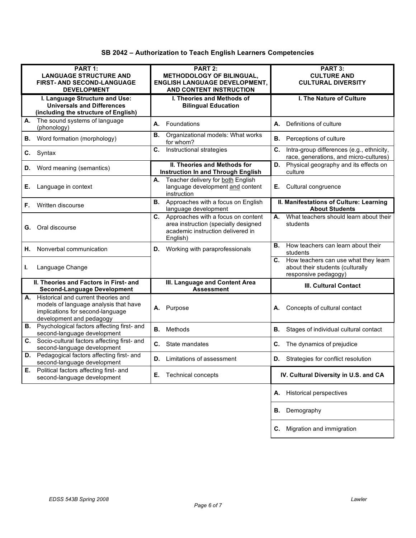| PART 1:<br><b>LANGUAGE STRUCTURE AND</b><br><b>FIRST- AND SECOND-LANGUAGE</b><br><b>DEVELOPMENT</b>                                             | PART 2:<br>METHODOLOGY OF BILINGUAL,<br><b>ENGLISH LANGUAGE DEVELOPMENT,</b><br>AND CONTENT INSTRUCTION                        | PART 3:<br><b>CULTURE AND</b><br><b>CULTURAL DIVERSITY</b>                                          |
|-------------------------------------------------------------------------------------------------------------------------------------------------|--------------------------------------------------------------------------------------------------------------------------------|-----------------------------------------------------------------------------------------------------|
| I. Language Structure and Use:<br><b>Universals and Differences</b><br>(including the structure of English)                                     | I. Theories and Methods of<br><b>Bilingual Education</b>                                                                       | I. The Nature of Culture                                                                            |
| The sound systems of language<br>А.<br>(phonology)                                                                                              | Foundations<br>А.                                                                                                              | Definitions of culture<br>А.                                                                        |
| Word formation (morphology)<br>В.                                                                                                               | Organizational models: What works<br>В.<br>for whom?                                                                           | <b>B.</b> Perceptions of culture                                                                    |
| C.<br>Syntax                                                                                                                                    | C.<br>Instructional strategies                                                                                                 | Intra-group differences (e.g., ethnicity,<br>C.<br>race, generations, and micro-cultures)           |
| Word meaning (semantics)<br>D.                                                                                                                  | <b>II. Theories and Methods for</b><br><b>Instruction In and Through English</b>                                               | Physical geography and its effects on<br>D.<br>culture                                              |
| Language in context<br>Е.                                                                                                                       | Teacher delivery for both English<br>А.<br>language development and content<br>instruction                                     | Cultural congruence<br>Е.                                                                           |
| Written discourse<br>F.                                                                                                                         | <b>B.</b> Approaches with a focus on English<br>language development                                                           | II. Manifestations of Culture: Learning<br><b>About Students</b>                                    |
| Oral discourse<br>G.                                                                                                                            | C. Approaches with a focus on content<br>area instruction (specially designed<br>academic instruction delivered in<br>English) | What teachers should learn about their<br>А.<br>students                                            |
| Nonverbal communication<br>Н.                                                                                                                   | <b>D.</b> Working with paraprofessionals                                                                                       | How teachers can learn about their<br>В.<br>students                                                |
| Language Change<br>L.                                                                                                                           |                                                                                                                                | C. How teachers can use what they learn<br>about their students (culturally<br>responsive pedagogy) |
| II. Theories and Factors in First- and<br><b>Second-Language Development</b>                                                                    | III. Language and Content Area<br><b>Assessment</b>                                                                            | III. Cultural Contact                                                                               |
| A. Historical and current theories and<br>models of language analysis that have<br>implications for second-language<br>development and pedagogy | Purpose<br>А.                                                                                                                  | Concepts of cultural contact<br>А.                                                                  |
| <b>B.</b> Psychological factors affecting first- and<br>second-language development                                                             | Methods<br>В.                                                                                                                  | В.<br>Stages of individual cultural contact                                                         |
| Socio-cultural factors affecting first- and<br>C.<br>second-language development                                                                | State mandates<br>C.                                                                                                           | The dynamics of prejudice<br>C.                                                                     |
| Pedagogical factors affecting first- and<br>D.<br>second-language development                                                                   | <b>D.</b> Limitations of assessment                                                                                            | <b>D.</b> Strategies for conflict resolution                                                        |
| Political factors affecting first- and<br>Е.<br>second-language development                                                                     | <b>Technical concepts</b><br>Е.                                                                                                | IV. Cultural Diversity in U.S. and CA                                                               |
|                                                                                                                                                 |                                                                                                                                | <b>Historical perspectives</b><br>А.                                                                |
|                                                                                                                                                 |                                                                                                                                | Demography<br>В.                                                                                    |
|                                                                                                                                                 |                                                                                                                                | Migration and immigration<br>C.                                                                     |